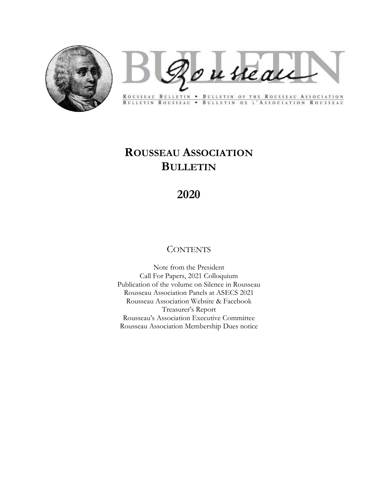

Rousseau

ROUSSEAU BULLETIN . BULLETIN OF THE ROUSSEAU ASSOCIATION BULLETIN ROUSSEAU . BULLETIN DE L'ASSOCIATION ROUSSEAU

# ROUSSEAU ASSOCIATION BULLETIN

# 2020

# **CONTENTS**

Note from the President Call For Papers, 2021 Colloquium Publication of the volume on Silence in Rousseau Rousseau Association Panels at ASECS 2021 Rousseau Association Website & Facebook Treasurer's Report Rousseau's Association Executive Committee Rousseau Association Membership Dues notice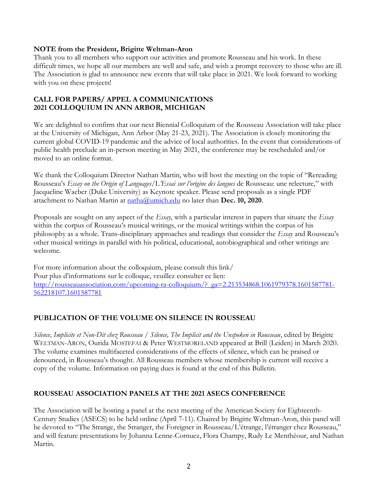#### NOTE from the President, Brigitte Weltman-Aron

Thank you to all members who support our activities and promote Rousseau and his work. In these difficult times, we hope all our members are well and safe, and wish a prompt recovery to those who are ill. The Association is glad to announce new events that will take place in 2021. We look forward to working with you on these projects!

### CALL FOR PAPERS/ APPEL A COMMUNICATIONS 2021 COLLOQUIUM IN ANN ARBOR, MICHIGAN

We are delighted to confirm that our next Biennial Colloquium of the Rousseau Association will take place at the University of Michigan, Ann Arbor (May 21-23, 2021). The Association is closely monitoring the current global COVID-19 pandemic and the advice of local authorities. In the event that considerations of public health preclude an in-person meeting in May 2021, the conference may be rescheduled and/or moved to an online format.

We thank the Colloquium Director Nathan Martin, who will host the meeting on the topic of "Rereading Rousseau's Essay on the Origin of Languages/L'Essai sur l'origine des langues de Rousseau: une relecture," with Jacqueline Waeber (Duke University) as Keynote speaker. Please send proposals as a single PDF attachment to Nathan Martin at  $\underline{\text{math}}(a)$ umich.edu no later than Dec. 10, 2020.

Proposals are sought on any aspect of the  $Essay$ , with a particular interest in papers that situate the  $Essay$ within the corpus of Rousseau's musical writings, or the musical writings within the corpus of his philosophy as a whole. Trans-disciplinary approaches and readings that consider the Essay and Rousseau's other musical writings in parallel with his political, educational, autobiographical and other writings are welcome.

For more information about the colloquium, please consult this link/ Pour plus d'informations sur le colloque, veuillez consulter ce lien: http://rousseauassociation.com/upcoming-ra-colloquium/? ga=2.213534868.1061979378.1601587781-562218107.1601587781

## PUBLICATION OF THE VOLUME ON SILENCE IN ROUSSEAU

Silence, Implicite et Non-Dit chez Rousseau / Silence, The Implicit and the Unspoken in Rousseau, edited by Brigitte WELTMAN-ARON, Ourida MOSTEFAI & Peter WESTMORELAND appeared at Brill (Leiden) in March 2020. The volume examines multifaceted considerations of the effects of silence, which can be praised or denounced, in Rousseau's thought. All Rousseau members whose membership is current will receive a copy of the volume. Information on paying dues is found at the end of this Bulletin.

#### ROUSSEAU ASSOCIATION PANELS AT THE 2021 ASECS CONFERENCE

The Association will be hosting a panel at the next meeting of the American Society for Eighteenth-Century Studies (ASECS) to be held online (April 7-11). Chaired by Brigitte Weltman-Aron, this panel will be devoted to "The Strange, the Stranger, the Foreigner in Rousseau/L'étrange, l'étranger chez Rousseau," and will feature presentations by Johanna Lenne-Cornuez, Flora Champy, Rudy Le Menthéour, and Nathan Martin.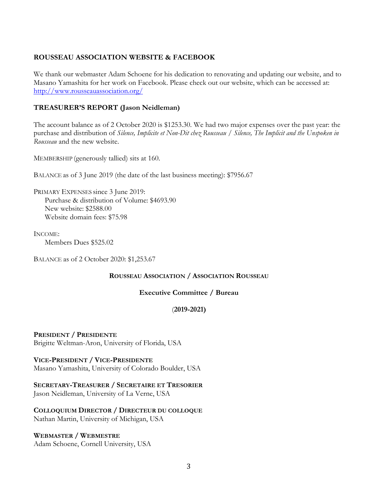### ROUSSEAU ASSOCIATION WEBSITE & FACEBOOK

We thank our webmaster Adam Schoene for his dedication to renovating and updating our website, and to Masano Yamashita for her work on Facebook. Please check out our website, which can be accessed at: http://www.rousseauassociation.org/

### TREASURER'S REPORT (Jason Neidleman)

The account balance as of 2 October 2020 is \$1253.30. We had two major expenses over the past year: the purchase and distribution of Silence, Implicite et Non-Dit chez Rousseau / Silence, The Implicit and the Unspoken in Rousseau and the new website.

MEMBERSHIP (generously tallied) sits at 160.

BALANCE as of 3 June 2019 (the date of the last business meeting): \$7956.67

PRIMARY EXPENSES since 3 June 2019: Purchase & distribution of Volume: \$4693.90 New website: \$2588.00 Website domain fees: \$75.98

INCOME:

Members Dues \$525.02

BALANCE as of 2 October 2020: \$1,253.67

#### ROUSSEAU ASSOCIATION / ASSOCIATION ROUSSEAU

#### Executive Committee / Bureau

#### (2019-2021)

PRESIDENT / PRESIDENTE Brigitte Weltman-Aron, University of Florida, USA

VICE-PRESIDENT / VICE-PRESIDENTE Masano Yamashita, University of Colorado Boulder, USA

SECRETARY-TREASURER / SECRETAIRE ET TRESORIER Jason Neidleman, University of La Verne, USA

COLLOQUIUM DIRECTOR / DIRECTEUR DU COLLOQUE Nathan Martin, University of Michigan, USA

WEBMASTER / WEBMESTRE Adam Schoene, Cornell University, USA